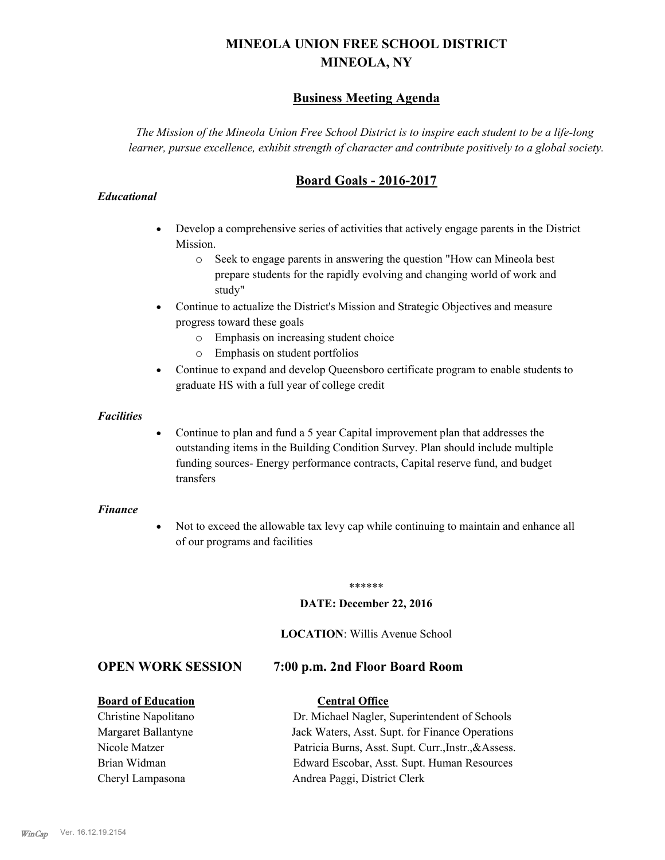# **MINEOLA UNION FREE SCHOOL DISTRICT MINEOLA, NY**

## **Business Meeting Agenda**

*The Mission of the Mineola Union Free School District is to inspire each student to be a life-long learner, pursue excellence, exhibit strength of character and contribute positively to a global society.*

## **Board Goals - 2016-2017**

## *Educational*

- · Develop a comprehensive series of activities that actively engage parents in the District Mission.
	- o Seek to engage parents in answering the question "How can Mineola best prepare students for the rapidly evolving and changing world of work and study"
- · Continue to actualize the District's Mission and Strategic Objectives and measure progress toward these goals
	- o Emphasis on increasing student choice
	- o Emphasis on student portfolios
- · Continue to expand and develop Queensboro certificate program to enable students to graduate HS with a full year of college credit

#### *Facilities*

· Continue to plan and fund a 5 year Capital improvement plan that addresses the outstanding items in the Building Condition Survey. Plan should include multiple funding sources- Energy performance contracts, Capital reserve fund, and budget transfers

### *Finance*

• Not to exceed the allowable tax levy cap while continuing to maintain and enhance all of our programs and facilities

#### \*\*\*\*\*\*

### **DATE: December 22, 2016**

#### **LOCATION**: Willis Avenue School

## **OPEN WORK SESSION 7:00 p.m. 2nd Floor Board Room**

#### **Board of Education Central Office**

Christine Napolitano Dr. Michael Nagler, Superintendent of Schools Margaret Ballantyne Jack Waters, Asst. Supt. for Finance Operations Nicole Matzer Patricia Burns, Asst. Supt. Curr.,Instr.,&Assess. Brian Widman Edward Escobar, Asst. Supt. Human Resources Cheryl Lampasona Andrea Paggi, District Clerk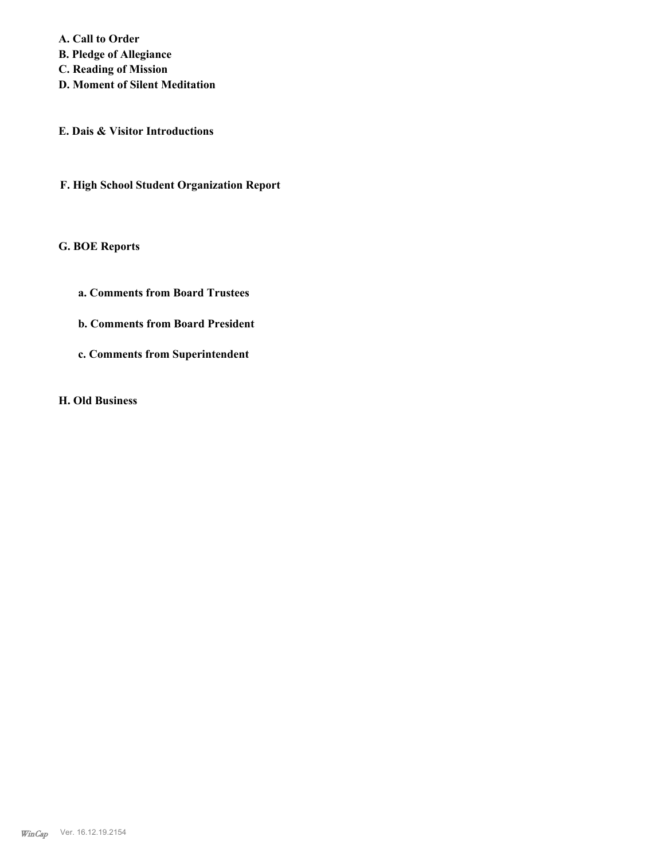**A. Call to Order B. Pledge of Allegiance C. Reading of Mission**

**D. Moment of Silent Meditation**

**E. Dais & Visitor Introductions**

**F. High School Student Organization Report**

**G. BOE Reports**

- **a. Comments from Board Trustees**
- **b. Comments from Board President**
- **c. Comments from Superintendent**

**H. Old Business**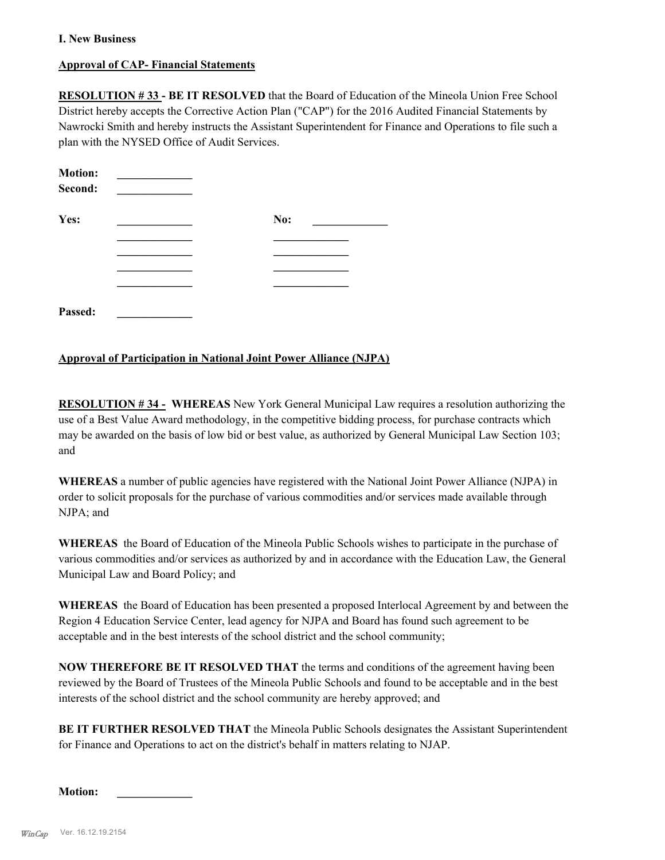## **I. New Business**

## **Approval of CAP- Financial Statements**

**RESOLUTION # 33 - BE IT RESOLVED** that the Board of Education of the Mineola Union Free School District hereby accepts the Corrective Action Plan ("CAP") for the 2016 Audited Financial Statements by Nawrocki Smith and hereby instructs the Assistant Superintendent for Finance and Operations to file such a plan with the NYSED Office of Audit Services.

| <b>Motion:</b> |     |
|----------------|-----|
| Second:        |     |
| Yes:           | No: |
|                |     |
|                |     |
|                |     |
|                |     |
| Passed:        |     |

### **Approval of Participation in National Joint Power Alliance (NJPA)**

**RESOLUTION # 34 - WHEREAS** New York General Municipal Law requires a resolution authorizing the use of a Best Value Award methodology, in the competitive bidding process, for purchase contracts which may be awarded on the basis of low bid or best value, as authorized by General Municipal Law Section 103; and

**WHEREAS** a number of public agencies have registered with the National Joint Power Alliance (NJPA) in order to solicit proposals for the purchase of various commodities and/or services made available through NJPA; and

**WHEREAS** the Board of Education of the Mineola Public Schools wishes to participate in the purchase of various commodities and/or services as authorized by and in accordance with the Education Law, the General Municipal Law and Board Policy; and

**WHEREAS** the Board of Education has been presented a proposed Interlocal Agreement by and between the Region 4 Education Service Center, lead agency for NJPA and Board has found such agreement to be acceptable and in the best interests of the school district and the school community;

**NOW THEREFORE BE IT RESOLVED THAT** the terms and conditions of the agreement having been reviewed by the Board of Trustees of the Mineola Public Schools and found to be acceptable and in the best interests of the school district and the school community are hereby approved; and

**BE IT FURTHER RESOLVED THAT** the Mineola Public Schools designates the Assistant Superintendent for Finance and Operations to act on the district's behalf in matters relating to NJAP.

**Motion: \_\_\_\_\_\_\_\_\_\_\_\_\_**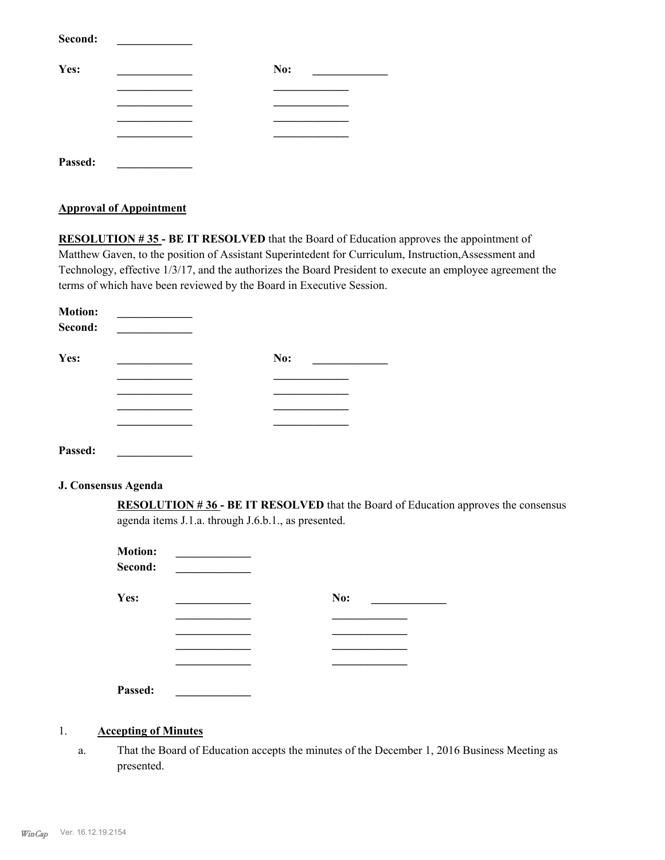| Second: |     |
|---------|-----|
| Yes:    | No: |
|         |     |
|         |     |
|         |     |
|         |     |
| Passed: |     |

#### **Approval of Appointment**

**RESOLUTION # 35 - BE IT RESOLVED** that the Board of Education approves the appointment of Matthew Gaven, to the position of Assistant Superintedent for Curriculum, Instruction,Assessment and Technology, effective 1/3/17, and the authorizes the Board President to execute an employee agreement the terms of which have been reviewed by the Board in Executive Session.

| <b>Motion:</b><br>Second: |     |  |
|---------------------------|-----|--|
| Yes:                      | No: |  |
|                           |     |  |
|                           |     |  |
|                           |     |  |
|                           |     |  |
| Passed:                   |     |  |

#### **J. Consensus Agenda**

**RESOLUTION # 36 - BE IT RESOLVED** that the Board of Education approves the consensus agenda items J.1.a. through J.6.b.1., as presented.

| <b>Motion:</b><br>Second: |     |
|---------------------------|-----|
| Yes:                      | No: |
|                           |     |
|                           |     |
|                           |     |
|                           |     |
| Passed:                   |     |

#### 1. **Accepting of Minutes**

That the Board of Education accepts the minutes of the December 1, 2016 Business Meeting as presented. a.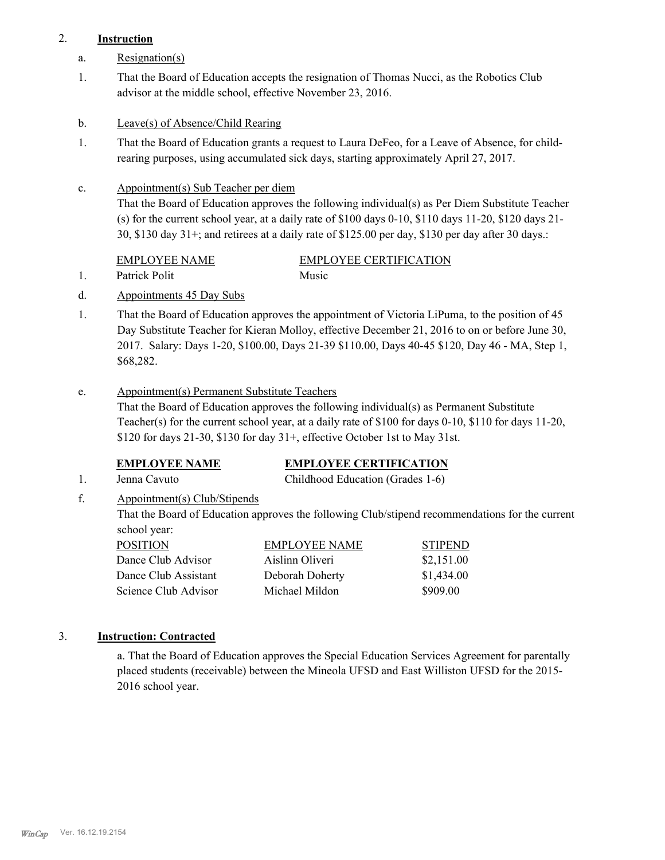## 2. **Instruction**

- a. Resignation(s)
- That the Board of Education accepts the resignation of Thomas Nucci, as the Robotics Club advisor at the middle school, effective November 23, 2016. 1.
- b. Leave(s) of Absence/Child Rearing
- That the Board of Education grants a request to Laura DeFeo, for a Leave of Absence, for childrearing purposes, using accumulated sick days, starting approximately April 27, 2017. 1.
- Appointment(s) Sub Teacher per diem c.

That the Board of Education approves the following individual(s) as Per Diem Substitute Teacher (s) for the current school year, at a daily rate of \$100 days 0-10, \$110 days 11-20, \$120 days 21- 30, \$130 day 31+; and retirees at a daily rate of \$125.00 per day, \$130 per day after 30 days.:

| <b>EMPLOYEE NAME</b> | EMPLOYEE CERTIFICATION |
|----------------------|------------------------|
| Patrick Polit        | Music                  |

- d. Appointments 45 Day Subs
- That the Board of Education approves the appointment of Victoria LiPuma, to the position of 45 Day Substitute Teacher for Kieran Molloy, effective December 21, 2016 to on or before June 30, 2017. Salary: Days 1-20, \$100.00, Days 21-39 \$110.00, Days 40-45 \$120, Day 46 - MA, Step 1, \$68,282. 1.
- Appointment(s) Permanent Substitute Teachers e.

That the Board of Education approves the following individual(s) as Permanent Substitute Teacher(s) for the current school year, at a daily rate of \$100 for days 0-10, \$110 for days 11-20, \$120 for days  $21-30$ , \$130 for day  $31+$ , effective October 1st to May 31st.

## **EMPLOYEE NAME EMPLOYEE CERTIFICATION**

- 1. Jenna Cavuto Childhood Education (Grades 1-6)
- Appointment(s) Club/Stipends f.

That the Board of Education approves the following Club/stipend recommendations for the current school year:

| EMPLOYEE NAME   | <b>STIPEND</b> |
|-----------------|----------------|
| Aislinn Oliveri | \$2,151.00     |
| Deborah Doherty | \$1,434.00     |
| Michael Mildon  | \$909.00       |
|                 |                |

## 3. **Instruction: Contracted**

a. That the Board of Education approves the Special Education Services Agreement for parentally placed students (receivable) between the Mineola UFSD and East Williston UFSD for the 2015- 2016 school year.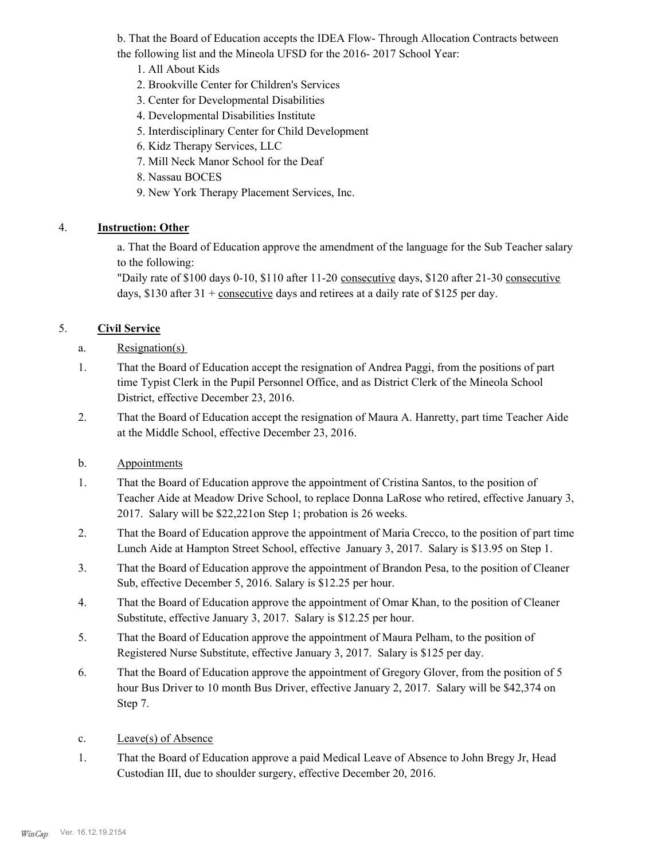b. That the Board of Education accepts the IDEA Flow- Through Allocation Contracts between the following list and the Mineola UFSD for the 2016- 2017 School Year:

- 1. All About Kids
- 2. Brookville Center for Children's Services
- 3. Center for Developmental Disabilities
- 4. Developmental Disabilities Institute
- 5. Interdisciplinary Center for Child Development
- 6. Kidz Therapy Services, LLC
- 7. Mill Neck Manor School for the Deaf
- 8. Nassau BOCES
- 9. New York Therapy Placement Services, Inc.

## 4. **Instruction: Other**

a. That the Board of Education approve the amendment of the language for the Sub Teacher salary to the following:

"Daily rate of \$100 days 0-10, \$110 after 11-20 consecutive days, \$120 after 21-30 consecutive days, \$130 after 31 + consecutive days and retirees at a daily rate of \$125 per day.

## 5. **Civil Service**

- a. Resignation(s)
- That the Board of Education accept the resignation of Andrea Paggi, from the positions of part time Typist Clerk in the Pupil Personnel Office, and as District Clerk of the Mineola School District, effective December 23, 2016. 1.
- That the Board of Education accept the resignation of Maura A. Hanretty, part time Teacher Aide at the Middle School, effective December 23, 2016. 2.

## b. Appointments

- That the Board of Education approve the appointment of Cristina Santos, to the position of Teacher Aide at Meadow Drive School, to replace Donna LaRose who retired, effective January 3, 2017. Salary will be \$22,221on Step 1; probation is 26 weeks. 1.
- That the Board of Education approve the appointment of Maria Crecco, to the position of part time Lunch Aide at Hampton Street School, effective January 3, 2017. Salary is \$13.95 on Step 1. 2.
- That the Board of Education approve the appointment of Brandon Pesa, to the position of Cleaner Sub, effective December 5, 2016. Salary is \$12.25 per hour. 3.
- That the Board of Education approve the appointment of Omar Khan, to the position of Cleaner Substitute, effective January 3, 2017. Salary is \$12.25 per hour. 4.
- That the Board of Education approve the appointment of Maura Pelham, to the position of Registered Nurse Substitute, effective January 3, 2017. Salary is \$125 per day. 5.
- That the Board of Education approve the appointment of Gregory Glover, from the position of 5 hour Bus Driver to 10 month Bus Driver, effective January 2, 2017. Salary will be \$42,374 on Step 7. 6.
- c. Leave(s) of Absence
- That the Board of Education approve a paid Medical Leave of Absence to John Bregy Jr, Head Custodian III, due to shoulder surgery, effective December 20, 2016. 1.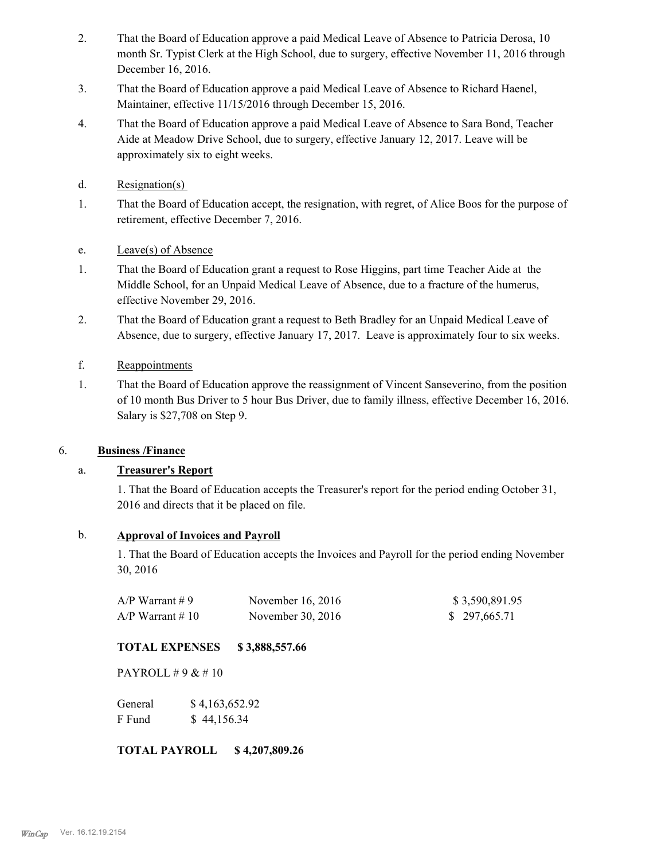- That the Board of Education approve a paid Medical Leave of Absence to Patricia Derosa, 10 month Sr. Typist Clerk at the High School, due to surgery, effective November 11, 2016 through December 16, 2016. 2.
- That the Board of Education approve a paid Medical Leave of Absence to Richard Haenel, Maintainer, effective 11/15/2016 through December 15, 2016. 3.
- That the Board of Education approve a paid Medical Leave of Absence to Sara Bond, Teacher Aide at Meadow Drive School, due to surgery, effective January 12, 2017. Leave will be approximately six to eight weeks. 4.
- d. Resignation(s)
- That the Board of Education accept, the resignation, with regret, of Alice Boos for the purpose of retirement, effective December 7, 2016. 1.
- e. Leave(s) of Absence
- That the Board of Education grant a request to Rose Higgins, part time Teacher Aide at the Middle School, for an Unpaid Medical Leave of Absence, due to a fracture of the humerus, effective November 29, 2016. 1.
- That the Board of Education grant a request to Beth Bradley for an Unpaid Medical Leave of Absence, due to surgery, effective January 17, 2017. Leave is approximately four to six weeks. 2.
- f. Reappointments
- That the Board of Education approve the reassignment of Vincent Sanseverino, from the position of 10 month Bus Driver to 5 hour Bus Driver, due to family illness, effective December 16, 2016. Salary is \$27,708 on Step 9. 1.

## 6. **Business /Finance**

## a. **Treasurer's Report**

1. That the Board of Education accepts the Treasurer's report for the period ending October 31, 2016 and directs that it be placed on file.

## b. **Approval of Invoices and Payroll**

1. That the Board of Education accepts the Invoices and Payroll for the period ending November 30, 2016

| $A/P$ Warrant #9   | November $16, 2016$ | \$3,590,891.95 |
|--------------------|---------------------|----------------|
| $A/P$ Warrant # 10 | November 30, 2016   | \$297,665.71   |

## **TOTAL EXPENSES \$ 3,888,557.66**

PAYROLL # 9 & # 10

General  $$4,163,652.92$ F Fund \$ 44,156.34

**TOTAL PAYROLL \$ 4,207,809.26**